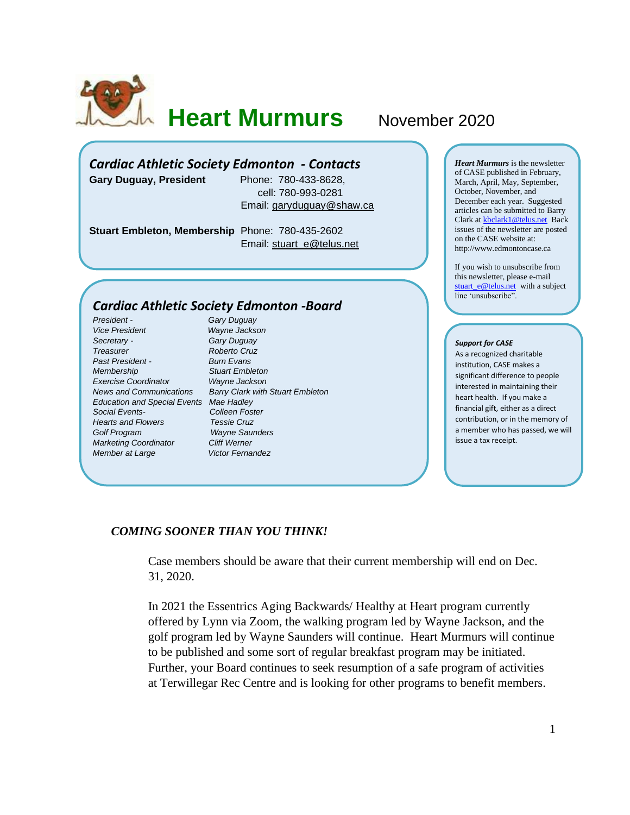

**Heart Murmurs** November 2020

# *Cardiac Athletic Society Edmonton - Contacts*

**Gary Duguay, President** Phone: 780-433-8628,

 cell: 780-993-0281 Email: [garyduguay@shaw.ca](mailto:garyduguay@shaw.ca)

**Stuart Embleton, Membership** Phone: 780-435-2602 Email: [stuart\\_e@telus.net](mailto:stuart_e@telus.net)

## *Cardiac Athletic Society Edmonton -Board*

*President - Gary Duguay Vice President Wayne Jackson Secretary - Gary Duguay Treasurer Roberto Cruz Past President - Burn Evans Membership Stuart Embleton Exercise Coordinator Wayne Jackson Education and Special Events Mae Hadley Social Events- Colleen Foster Hearts and Flowers Tessie Cruz Golf Program Wayne Saunders Marketing Coordinator Cliff Werner Member at Large* **Victor Fernandez** 

*News and Communications Barry Clark with Stuart Embleton*

*Heart Murmurs* is the newsletter of CASE published in February, March, April, May, September, October, November, and December each year. Suggested articles can be submitted to Barry Clark a[t kbclark1@telus.net](mailto:kbclark1@telus.net) Back issues of the newsletter are posted on the CASE website at: [http://www.edmontoncase.ca](http://www.edmontoncase.ca/)

If you wish to unsubscribe from this newsletter, please e-mail [stuart\\_e@telus.net](mailto:stuart_e@telus.net) with a subject line 'unsubscribe".

#### *Support for CASE*

As a recognized charitable institution, CASE makes a significant difference to people interested in maintaining their heart health. If you make a financial gift, either as a direct contribution, or in the memory of a member who has passed, we will issue a tax receipt.

## *COMING SOONER THAN YOU THINK!*

Case members should be aware that their current membership will end on Dec. 31, 2020.

In 2021 the Essentrics Aging Backwards/ Healthy at Heart program currently offered by Lynn via Zoom, the walking program led by Wayne Jackson, and the golf program led by Wayne Saunders will continue. Heart Murmurs will continue to be published and some sort of regular breakfast program may be initiated. Further, your Board continues to seek resumption of a safe program of activities at Terwillegar Rec Centre and is looking for other programs to benefit members.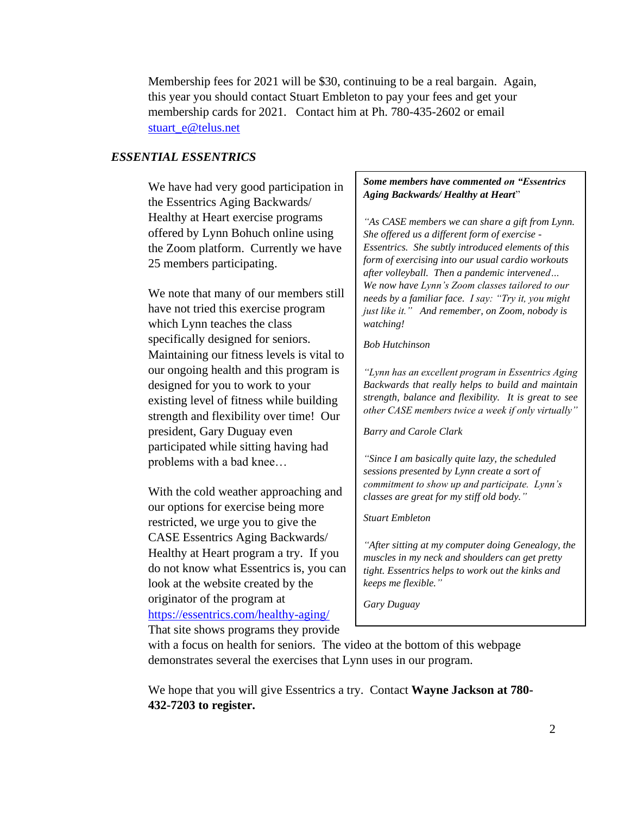Membership fees for 2021 will be \$30, continuing to be a real bargain. Again, this year you should contact Stuart Embleton to pay your fees and get your membership cards for 2021. Contact him at Ph. 780-435-2602 or email [stuart\\_e@telus.net](mailto:stuart_e@telus.net)

## *ESSENTIAL ESSENTRICS*

We have had very good participation in the Essentrics Aging Backwards/ Healthy at Heart exercise programs offered by Lynn Bohuch online using the Zoom platform. Currently we have 25 members participating.

We note that many of our members still have not tried this exercise program which Lynn teaches the class specifically designed for seniors. Maintaining our fitness levels is vital to our ongoing health and this program is designed for you to work to your existing level of fitness while building strength and flexibility over time! Our president, Gary Duguay even participated while sitting having had problems with a bad knee…

With the cold weather approaching and our options for exercise being more restricted, we urge you to give the CASE Essentrics Aging Backwards/ Healthy at Heart program a try. If you do not know what Essentrics is, you can look at the website created by the originator of the program at <https://essentrics.com/healthy-aging/> That site shows programs they provide

### *Some members have commented on "Essentrics Aging Backwards/ Healthy at Heart*"

*"As CASE members we can share a gift from Lynn. She offered us a different form of exercise - Essentrics. She subtly introduced elements of this form of exercising into our usual cardio workouts after volleyball. Then a pandemic intervened… We now have Lynn's Zoom classes tailored to our needs by a familiar face. I say: "Try it, you might just like it." And remember, on Zoom, nobody is watching!*

#### *Bob Hutchinson*

*"Lynn has an excellent program in Essentrics Aging Backwards that really helps to build and maintain strength, balance and flexibility. It is great to see other CASE members twice a week if only virtually"* 

*Barry and Carole Clark*

*"Since I am basically quite lazy, the scheduled sessions presented by Lynn create a sort of commitment to show up and participate. Lynn's classes are great for my stiff old body."*

#### *Stuart Embleton*

*"After sitting at my computer doing Genealogy, the muscles in my neck and shoulders can get pretty tight. Essentrics helps to work out the kinks and keeps me flexible."*

*Gary Duguay*

with a focus on health for seniors. The video at the bottom of this webpage demonstrates several the exercises that Lynn uses in our program.

We hope that you will give Essentrics a try. Contact **Wayne Jackson at 780- 432-7203 to register.**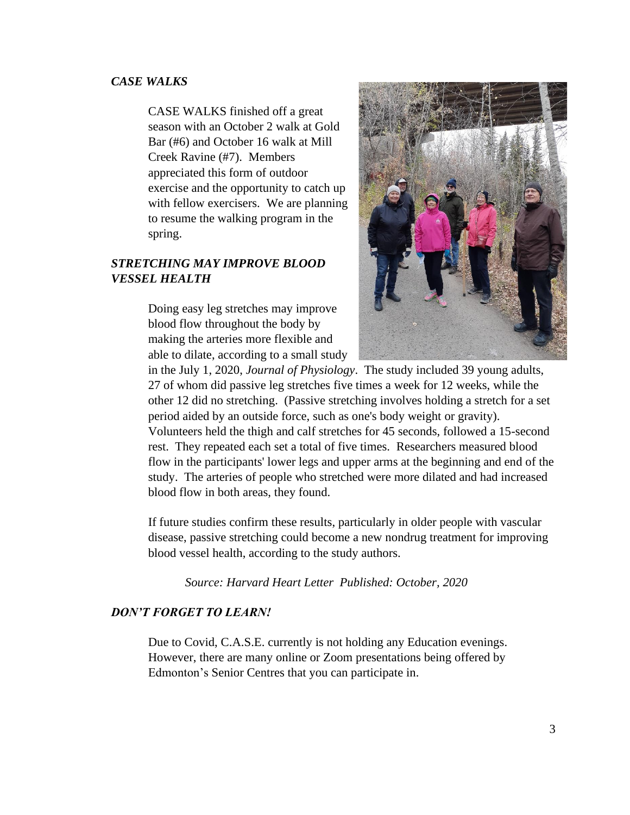## *CASE WALKS*

CASE WALKS finished off a great season with an October 2 walk at Gold Bar (#6) and October 16 walk at Mill Creek Ravine (#7). Members appreciated this form of outdoor exercise and the opportunity to catch up with fellow exercisers. We are planning to resume the walking program in the spring.

# *STRETCHING MAY IMPROVE BLOOD VESSEL HEALTH*

Doing easy leg stretches may improve blood flow throughout the body by making the arteries more flexible and able to dilate, according to a small study



in the July 1, 2020, *Journal of Physiology*. The study included 39 young adults, 27 of whom did passive leg stretches five times a week for 12 weeks, while the other 12 did no stretching. (Passive stretching involves holding a stretch for a set period aided by an outside force, such as one's body weight or gravity). Volunteers held the thigh and calf stretches for 45 seconds, followed a 15-second rest. They repeated each set a total of five times. Researchers measured blood flow in the participants' lower legs and upper arms at the beginning and end of the study. The arteries of people who stretched were more dilated and had increased blood flow in both areas, they found.

If future studies confirm these results, particularly in older people with vascular disease, passive stretching could become a new nondrug treatment for improving blood vessel health, according to the study authors.

*Source: [Harvard Heart Letter](https://www.health.harvard.edu/newsletters/harvard_heart_letter/2020/october) Published: October, 2020*

## *DON'T FORGET TO LEARN!*

Due to Covid, C.A.S.E. currently is not holding any Education evenings. However, there are many online or Zoom presentations being offered by Edmonton's Senior Centres that you can participate in.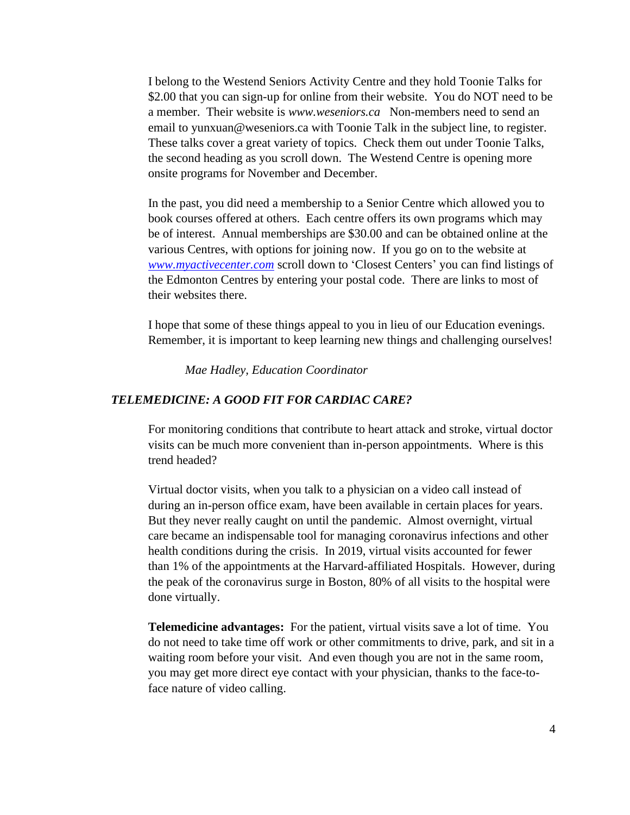I belong to the Westend Seniors Activity Centre and they hold Toonie Talks for \$2.00 that you can sign-up for online from their website. You do NOT need to be a member. Their website is *[www.weseniors.ca](about:blank)* Non-members need to send an email to yunxuan@weseniors.ca with Toonie Talk in the subject line, to register. These talks cover a great variety of topics. Check them out under Toonie Talks, the second heading as you scroll down. The Westend Centre is opening more onsite programs for November and December.

In the past, you did need a membership to a Senior Centre which allowed you to book courses offered at others. Each centre offers its own programs which may be of interest. Annual memberships are \$30.00 and can be obtained online at the various Centres, with options for joining now. If you go on to the website at *[www.myactivecenter.com](http://www.myactivecenter.com/)* scroll down to 'Closest Centers' you can find listings of the Edmonton Centres by entering your postal code. There are links to most of their websites there.

I hope that some of these things appeal to you in lieu of our Education evenings. Remember, it is important to keep learning new things and challenging ourselves!

*Mae Hadley, Education Coordinator*

## *TELEMEDICINE: A GOOD FIT FOR CARDIAC CARE?*

For monitoring conditions that contribute to heart attack and stroke, virtual doctor visits can be much more convenient than in-person appointments. Where is this trend headed?

Virtual doctor visits, when you talk to a physician on a video call instead of during an in-person office exam, have been available in certain places for years. But they never really caught on until the pandemic. Almost overnight, virtual care became an indispensable tool for managing coronavirus infections and other health conditions during the crisis. In 2019, virtual visits accounted for fewer than 1% of the appointments at the Harvard-affiliated Hospitals. However, during the peak of the coronavirus surge in Boston, 80% of all visits to the hospital were done virtually.

**Telemedicine advantages:** For the patient, virtual visits save a lot of time. You do not need to take time off work or other commitments to drive, park, and sit in a waiting room before your visit. And even though you are not in the same room, you may get more direct eye contact with your physician, thanks to the face-toface nature of video calling.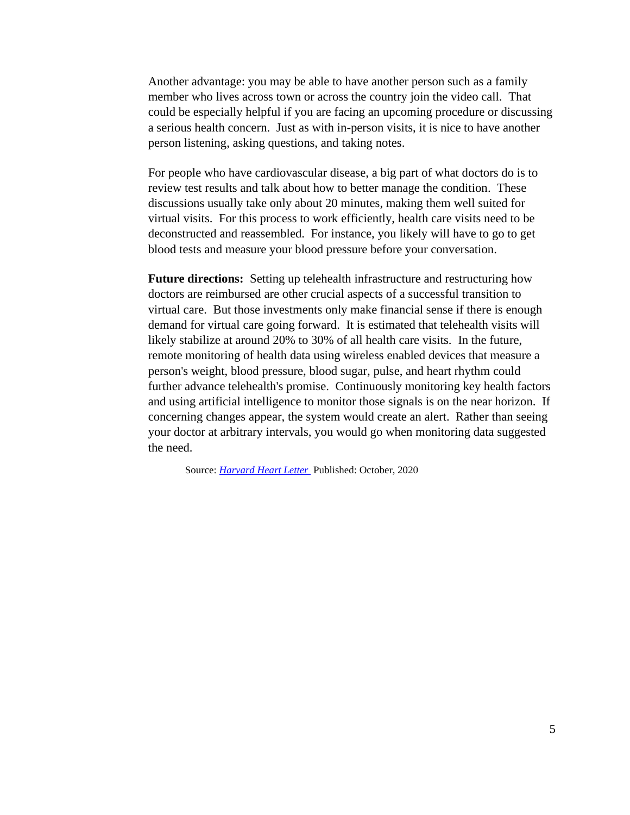Another advantage: you may be able to have another person such as a family member who lives across town or across the country join the video call. That could be especially helpful if you are facing an upcoming procedure or discussing a serious health concern. Just as with in-person visits, it is nice to have another person listening, asking questions, and taking notes.

For people who have cardiovascular disease, a big part of what doctors do is to review test results and talk about how to better manage the condition. These discussions usually take only about 20 minutes, making them well suited for virtual visits. For this process to work efficiently, health care visits need to be deconstructed and reassembled. For instance, you likely will have to go to get blood tests and measure your blood pressure before your conversation.

**Future directions:** Setting up telehealth infrastructure and restructuring how doctors are reimbursed are other crucial aspects of a successful transition to virtual care. But those investments only make financial sense if there is enough demand for virtual care going forward. It is estimated that telehealth visits will likely stabilize at around 20% to 30% of all health care visits. In the future, remote monitoring of health data using wireless enabled devices that measure a person's weight, blood pressure, blood sugar, pulse, and heart rhythm could further advance telehealth's promise. Continuously monitoring key health factors and using artificial intelligence to monitor those signals is on the near horizon. If concerning changes appear, the system would create an alert. Rather than seeing your doctor at arbitrary intervals, you would go when monitoring data suggested the need.

Source: *[Harvard Heart Letter](https://www.health.harvard.edu/newsletters/harvard_heart_letter/2020/october)* Published: October, 2020